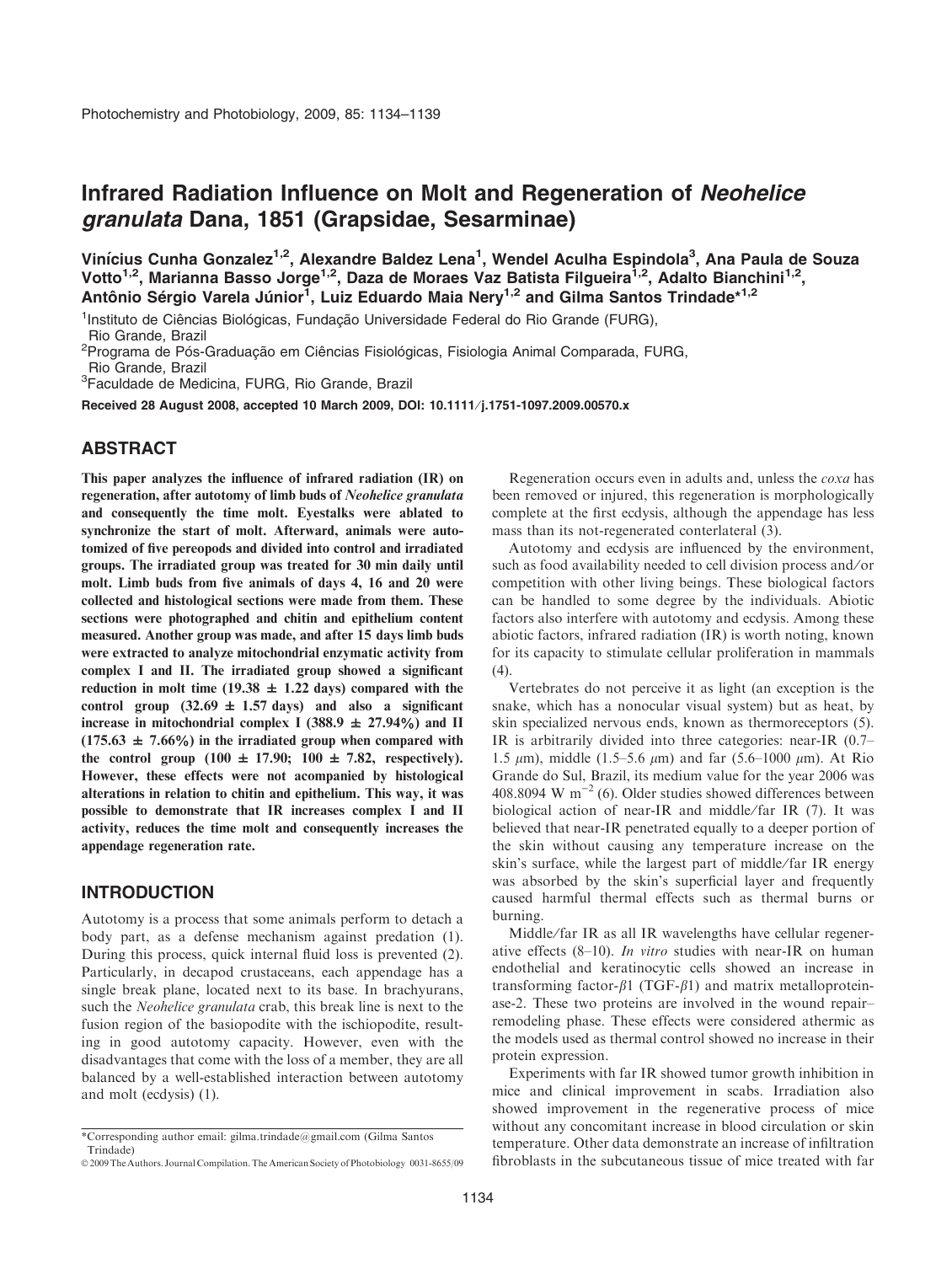# Infrared Radiation Influence on Molt and Regeneration of Neohelice granulata Dana, 1851 (Grapsidae, Sesarminae)

Vinícius Cunha Gonzalez<sup>1,2</sup>, Alexandre Baldez Lena<sup>1</sup>, Wendel Aculha Espindola<sup>3</sup>, Ana Paula de Souza Votto<sup>1,2</sup>, Marianna Basso Jorge<sup>1,2</sup>, Daza de Moraes Vaz Batista Filgueira<sup>1,2</sup>, Adalto Bianchini<sup>1,2</sup>, Antônio Sérgio Varela Júnior<sup>1</sup>, Luiz Eduardo Maia Nery<sup>1,2</sup> and Gilma Santos Trindade\*<sup>1,2</sup>

<sup>1</sup>Instituto de Ciências Biológicas, Fundação Universidade Federal do Rio Grande (FURG),

Rio Grande, Brazil

<sup>2</sup>Programa de Pós-Graduação em Ciências Fisiológicas, Fisiologia Animal Comparada, FURG,

Rio Grande, Brazil

<sup>3</sup>Faculdade de Medicina, FURG, Rio Grande, Brazil

Received 28 August 2008, accepted 10 March 2009, DOI: 10.1111 ⁄ j.1751-1097.2009.00570.x

# **ABSTRACT**

This paper analyzes the influence of infrared radiation (IR) on regeneration, after autotomy of limb buds of Neohelice granulata and consequently the time molt. Eyestalks were ablated to synchronize the start of molt. Afterward, animals were autotomized of five pereopods and divided into control and irradiated groups. The irradiated group was treated for 30 min daily until molt. Limb buds from five animals of days 4, 16 and 20 were collected and histological sections were made from them. These sections were photographed and chitin and epithelium content measured. Another group was made, and after 15 days limb buds were extracted to analyze mitochondrial enzymatic activity from complex I and II. The irradiated group showed a significant reduction in molt time (19.38  $\pm$  1.22 days) compared with the control group  $(32.69 \pm 1.57 \text{ days})$  and also a significant increase in mitochondrial complex I (388.9  $\pm$  27.94%) and II  $(175.63 \pm 7.66\%)$  in the irradiated group when compared with the control group  $(100 \pm 17.90; 100 \pm 7.82,$  respectively). However, these effects were not acompanied by histological alterations in relation to chitin and epithelium. This way, it was possible to demonstrate that IR increases complex I and II activity, reduces the time molt and consequently increases the appendage regeneration rate.

# INTRODUCTION

Autotomy is a process that some animals perform to detach a body part, as a defense mechanism against predation (1). During this process, quick internal fluid loss is prevented (2). Particularly, in decapod crustaceans, each appendage has a single break plane, located next to its base. In brachyurans, such the Neohelice granulata crab, this break line is next to the fusion region of the basiopodite with the ischiopodite, resulting in good autotomy capacity. However, even with the disadvantages that come with the loss of a member, they are all balanced by a well-established interaction between autotomy and molt (ecdysis) (1).

Regeneration occurs even in adults and, unless the coxa has been removed or injured, this regeneration is morphologically complete at the first ecdysis, although the appendage has less mass than its not-regenerated conterlateral (3).

Autotomy and ecdysis are influenced by the environment, such as food availability needed to cell division process and ⁄ or competition with other living beings. These biological factors can be handled to some degree by the individuals. Abiotic factors also interfere with autotomy and ecdysis. Among these abiotic factors, infrared radiation (IR) is worth noting, known for its capacity to stimulate cellular proliferation in mammals (4).

Vertebrates do not perceive it as light (an exception is the snake, which has a nonocular visual system) but as heat, by skin specialized nervous ends, known as thermoreceptors (5). IR is arbitrarily divided into three categories: near-IR (0.7– 1.5  $\mu$ m), middle (1.5–5.6  $\mu$ m) and far (5.6–1000  $\mu$ m). At Rio Grande do Sul, Brazil, its medium value for the year 2006 was 408.8094 W  $m^{-2}$  (6). Older studies showed differences between biological action of near-IR and middle/far IR (7). It was believed that near-IR penetrated equally to a deeper portion of the skin without causing any temperature increase on the skin's surface, while the largest part of middle/far IR energy was absorbed by the skin's superficial layer and frequently caused harmful thermal effects such as thermal burns or burning.

Middle ⁄far IR as all IR wavelengths have cellular regenerative effects (8–10). In vitro studies with near-IR on human endothelial and keratinocytic cells showed an increase in transforming factor- $\beta$ 1 (TGF- $\beta$ 1) and matrix metalloproteinase-2. These two proteins are involved in the wound repair– remodeling phase. These effects were considered athermic as the models used as thermal control showed no increase in their protein expression.

Experiments with far IR showed tumor growth inhibition in mice and clinical improvement in scabs. Irradiation also showed improvement in the regenerative process of mice without any concomitant increase in blood circulation or skin temperature. Other data demonstrate an increase of infiltration fibroblasts in the subcutaneous tissue of mice treated with far

<sup>\*</sup>Corresponding author email: gilma.trindade@gmail.com (Gilma Santos Trindade)

<sup>© 2009</sup> The Authors. Journal Compilation. The American Society of Photobiology 0031-8655/09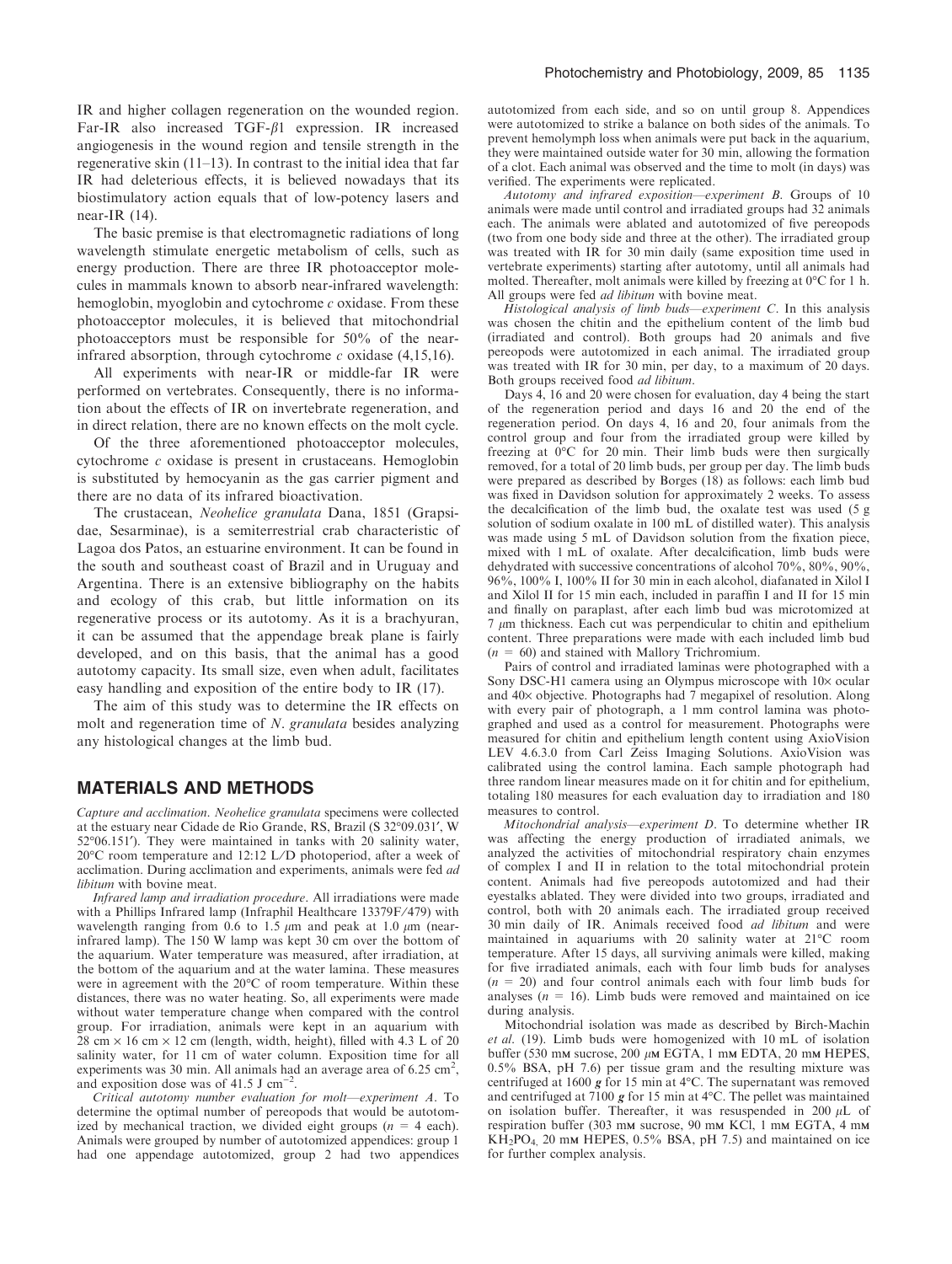IR and higher collagen regeneration on the wounded region. Far-IR also increased TGF- $\beta$ 1 expression. IR increased angiogenesis in the wound region and tensile strength in the regenerative skin (11–13). In contrast to the initial idea that far IR had deleterious effects, it is believed nowadays that its biostimulatory action equals that of low-potency lasers and near-IR (14).

The basic premise is that electromagnetic radiations of long wavelength stimulate energetic metabolism of cells, such as energy production. There are three IR photoacceptor molecules in mammals known to absorb near-infrared wavelength: hemoglobin, myoglobin and cytochrome  $c$  oxidase. From these photoacceptor molecules, it is believed that mitochondrial photoacceptors must be responsible for 50% of the nearinfrared absorption, through cytochrome  $c$  oxidase (4,15,16).

All experiments with near-IR or middle-far IR were performed on vertebrates. Consequently, there is no information about the effects of IR on invertebrate regeneration, and in direct relation, there are no known effects on the molt cycle.

Of the three aforementioned photoacceptor molecules, cytochrome c oxidase is present in crustaceans. Hemoglobin is substituted by hemocyanin as the gas carrier pigment and there are no data of its infrared bioactivation.

The crustacean, Neohelice granulata Dana, 1851 (Grapsidae, Sesarminae), is a semiterrestrial crab characteristic of Lagoa dos Patos, an estuarine environment. It can be found in the south and southeast coast of Brazil and in Uruguay and Argentina. There is an extensive bibliography on the habits and ecology of this crab, but little information on its regenerative process or its autotomy. As it is a brachyuran, it can be assumed that the appendage break plane is fairly developed, and on this basis, that the animal has a good autotomy capacity. Its small size, even when adult, facilitates easy handling and exposition of the entire body to IR (17).

The aim of this study was to determine the IR effects on molt and regeneration time of N. granulata besides analyzing any histological changes at the limb bud.

# MATERIALS AND METHODS

Capture and acclimation. Neohelice granulata specimens were collected at the estuary near Cidade de Rio Grande, RS, Brazil (S 32°09.031', W 52°06.151′). They were maintained in tanks with 20 salinity water, 20°C room temperature and 12:12 L/D photoperiod, after a week of acclimation. During acclimation and experiments, animals were fed ad libitum with bovine meat.

Infrared lamp and irradiation procedure. All irradiations were made with a Phillips Infrared lamp (Infraphil Healthcare 13379F⁄ 479) with wavelength ranging from 0.6 to 1.5  $\mu$ m and peak at 1.0  $\mu$ m (nearinfrared lamp). The 150 W lamp was kept 30 cm over the bottom of the aquarium. Water temperature was measured, after irradiation, at the bottom of the aquarium and at the water lamina. These measures were in agreement with the  $20^{\circ}$ C of room temperature. Within these distances, there was no water heating. So, all experiments were made without water temperature change when compared with the control group. For irradiation, animals were kept in an aquarium with 28 cm  $\times$  16 cm  $\times$  12 cm (length, width, height), filled with 4.3 L of 20 salinity water, for 11 cm of water column. Exposition time for all experiments was 30 min. All animals had an average area of 6.25 cm<sup>2</sup>, and exposition dose was of 41.5 J cm<sup>-2</sup>.

Critical autotomy number evaluation for molt—experiment A. To determine the optimal number of pereopods that would be autotomized by mechanical traction, we divided eight groups ( $n = 4$  each). Animals were grouped by number of autotomized appendices: group 1 had one appendage autotomized, group 2 had two appendices autotomized from each side, and so on until group 8. Appendices were autotomized to strike a balance on both sides of the animals. To prevent hemolymph loss when animals were put back in the aquarium, they were maintained outside water for 30 min, allowing the formation of a clot. Each animal was observed and the time to molt (in days) was verified. The experiments were replicated.

Autotomy and infrared exposition—experiment B. Groups of 10 animals were made until control and irradiated groups had 32 animals each. The animals were ablated and autotomized of five pereopods (two from one body side and three at the other). The irradiated group was treated with IR for 30 min daily (same exposition time used in vertebrate experiments) starting after autotomy, until all animals had molted. Thereafter, molt animals were killed by freezing at  $0^{\circ}$ C for 1 h. All groups were fed *ad libitum* with bovine meat.

 $\tilde{Historical}$  analysis of limb buds—experiment C. In this analysis was chosen the chitin and the epithelium content of the limb bud (irradiated and control). Both groups had 20 animals and five pereopods were autotomized in each animal. The irradiated group was treated with IR for 30 min, per day, to a maximum of 20 days. Both groups received food ad libitum.

Days 4, 16 and 20 were chosen for evaluation, day 4 being the start of the regeneration period and days 16 and 20 the end of the regeneration period. On days 4, 16 and 20, four animals from the control group and four from the irradiated group were killed by freezing at  $0^{\circ}$ C for 20 min. Their limb buds were then surgically removed, for a total of 20 limb buds, per group per day. The limb buds were prepared as described by Borges (18) as follows: each limb bud was fixed in Davidson solution for approximately 2 weeks. To assess the decalcification of the limb bud, the oxalate test was used (5 g solution of sodium oxalate in 100 mL of distilled water). This analysis was made using 5 mL of Davidson solution from the fixation piece, mixed with 1 mL of oxalate. After decalcification, limb buds were dehydrated with successive concentrations of alcohol 70%, 80%, 90%, 96%, 100% I, 100% II for 30 min in each alcohol, diafanated in Xilol I and Xilol II for 15 min each, included in paraffin I and II for 15 min and finally on paraplast, after each limb bud was microtomized at  $7 \mu m$  thickness. Each cut was perpendicular to chitin and epithelium content. Three preparations were made with each included limb bud  $(n = 60)$  and stained with Mallory Trichromium.

Pairs of control and irradiated laminas were photographed with a Sony DSC-H1 camera using an Olympus microscope with  $10\times$  ocular and  $40\times$  objective. Photographs had 7 megapixel of resolution. Along with every pair of photograph, a 1 mm control lamina was photographed and used as a control for measurement. Photographs were measured for chitin and epithelium length content using AxioVision LEV 4.6.3.0 from Carl Zeiss Imaging Solutions. AxioVision was calibrated using the control lamina. Each sample photograph had three random linear measures made on it for chitin and for epithelium, totaling 180 measures for each evaluation day to irradiation and 180 measures to control.

Mitochondrial analysis—experiment D. To determine whether IR was affecting the energy production of irradiated animals, we analyzed the activities of mitochondrial respiratory chain enzymes of complex I and II in relation to the total mitochondrial protein content. Animals had five pereopods autotomized and had their eyestalks ablated. They were divided into two groups, irradiated and control, both with 20 animals each. The irradiated group received 30 min daily of IR. Animals received food ad libitum and were maintained in aquariums with 20 salinity water at  $21^{\circ}$ C room temperature. After 15 days, all surviving animals were killed, making for five irradiated animals, each with four limb buds for analyses  $(n = 20)$  and four control animals each with four limb buds for analyses ( $n = 16$ ). Limb buds were removed and maintained on ice during analysis.

Mitochondrial isolation was made as described by Birch-Machin et al. (19). Limb buds were homogenized with 10 mL of isolation buffer (530 mm sucrose,  $200 \mu m$  EGTA, 1 mm EDTA, 20 mm HEPES, 0.5% BSA, pH 7.6) per tissue gram and the resulting mixture was centrifuged at 1600  $g$  for 15 min at 4°C. The supernatant was removed and centrifuged at 7100  $g$  for 15 min at 4°C. The pellet was maintained on isolation buffer. Thereafter, it was resuspended in 200  $\mu$ L of respiration buffer (303 mm sucrose, 90 mm KCl, 1 mm EGTA, 4 mm  $K\hat{H}_2PO_4$ , 20 mm HEPES, 0.5% BSA, pH 7.5) and maintained on ice for further complex analysis.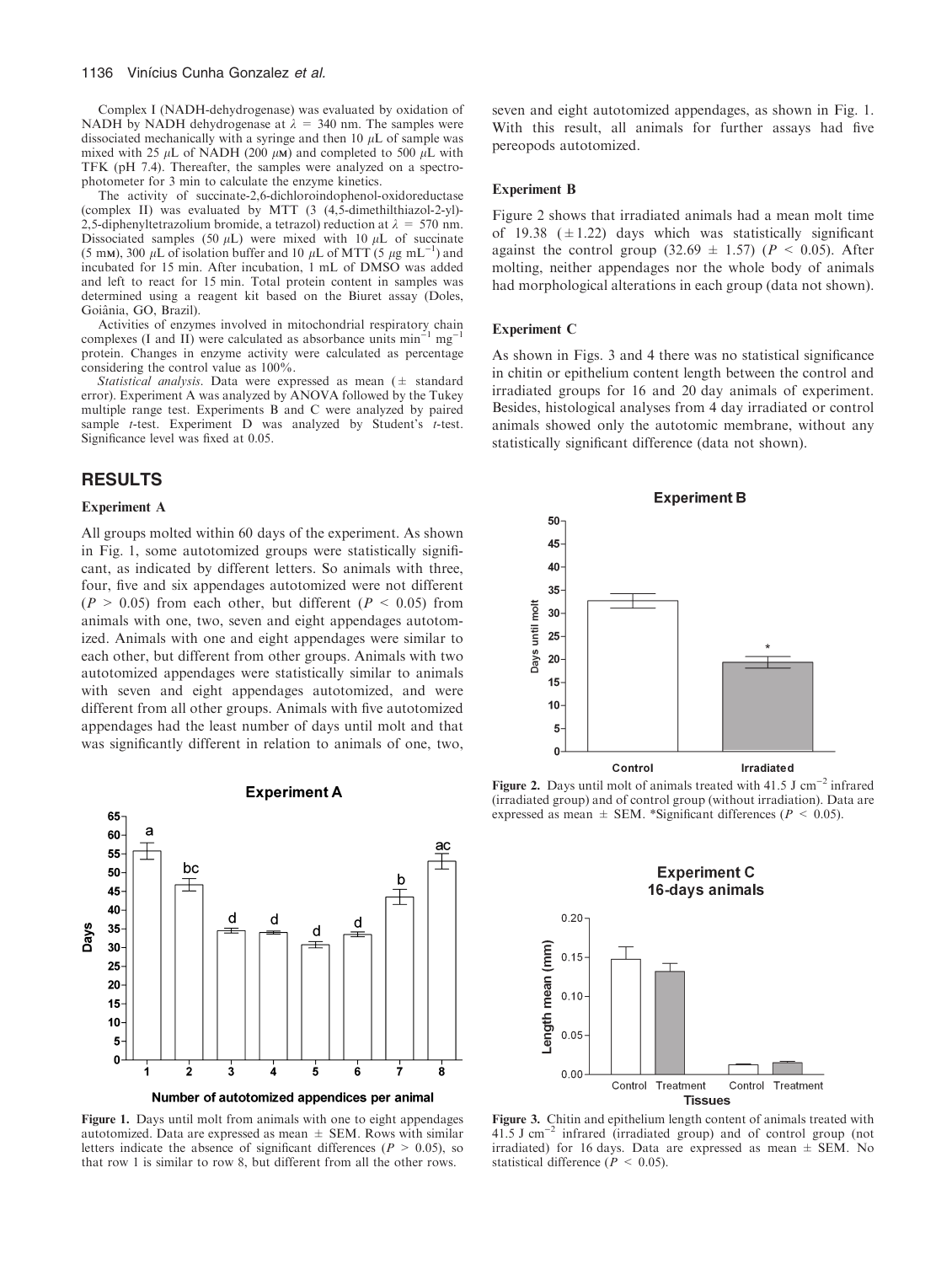Complex I (NADH-dehydrogenase) was evaluated by oxidation of NADH by NADH dehydrogenase at  $\lambda = 340$  nm. The samples were dissociated mechanically with a syringe and then 10  $\mu$ L of sample was mixed with 25  $\mu$ L of NADH (200  $\mu$ M) and completed to 500  $\mu$ L with TFK (pH 7.4). Thereafter, the samples were analyzed on a spectrophotometer for 3 min to calculate the enzyme kinetics.

The activity of succinate-2,6-dichloroindophenol-oxidoreductase (complex II) was evaluated by MTT (3 (4,5-dimethilthiazol-2-yl)- 2,5-diphenyltetrazolium bromide, a tetrazol) reduction at  $\lambda = 570$  nm. Dissociated samples (50  $\mu$ L) were mixed with 10  $\mu$ L of succinate (5 mm), 300  $\mu$ L of isolation buffer and 10  $\mu$ L of MTT (5  $\mu$ g mL<sup>-1</sup>) and incubated for 15 min. After incubation, 1 mL of DMSO was added and left to react for 15 min. Total protein content in samples was determined using a reagent kit based on the Biuret assay (Doles, Goiânia, GO, Brazil).

Activities of enzymes involved in mitochondrial respiratory chain complexes (I and II) were calculated as absorbance units  $min^{-1} mg^{-}$ protein. Changes in enzyme activity were calculated as percentage considering the control value as 100%.

Statistical analysis. Data were expressed as mean  $(\pm$  standard error). Experiment A was analyzed by ANOVA followed by the Tukey multiple range test. Experiments B and C were analyzed by paired sample t-test. Experiment D was analyzed by Student's t-test. Significance level was fixed at 0.05.

### RESULTS

#### Experiment A

All groups molted within 60 days of the experiment. As shown in Fig. 1, some autotomized groups were statistically significant, as indicated by different letters. So animals with three, four, five and six appendages autotomized were not different  $(P > 0.05)$  from each other, but different  $(P < 0.05)$  from animals with one, two, seven and eight appendages autotomized. Animals with one and eight appendages were similar to each other, but different from other groups. Animals with two autotomized appendages were statistically similar to animals with seven and eight appendages autotomized, and were different from all other groups. Animals with five autotomized appendages had the least number of days until molt and that was significantly different in relation to animals of one, two,



Figure 1. Days until molt from animals with one to eight appendages autotomized. Data are expressed as mean  $\pm$  SEM. Rows with similar letters indicate the absence of significant differences ( $P > 0.05$ ), so that row 1 is similar to row 8, but different from all the other rows.

seven and eight autotomized appendages, as shown in Fig. 1. With this result, all animals for further assays had five pereopods autotomized.

#### Experiment B

Figure 2 shows that irradiated animals had a mean molt time of 19.38 ( $\pm$ 1.22) days which was statistically significant against the control group (32.69  $\pm$  1.57) ( $P < 0.05$ ). After molting, neither appendages nor the whole body of animals had morphological alterations in each group (data not shown).

#### Experiment C

As shown in Figs. 3 and 4 there was no statistical significance in chitin or epithelium content length between the control and irradiated groups for 16 and 20 day animals of experiment. Besides, histological analyses from 4 day irradiated or control animals showed only the autotomic membrane, without any statistically significant difference (data not shown).



Figure 2. Days until molt of animals treated with 41.5 J cm<sup>-2</sup> infrared (irradiated group) and of control group (without irradiation). Data are expressed as mean  $\pm$  SEM. \*Significant differences ( $P < 0.05$ ).



Figure 3. Chitin and epithelium length content of animals treated with  $41.5$  J cm<sup>-2</sup> infrared (irradiated group) and of control group (not irradiated) for 16 days. Data are expressed as mean ± SEM. No statistical difference ( $P < 0.05$ ).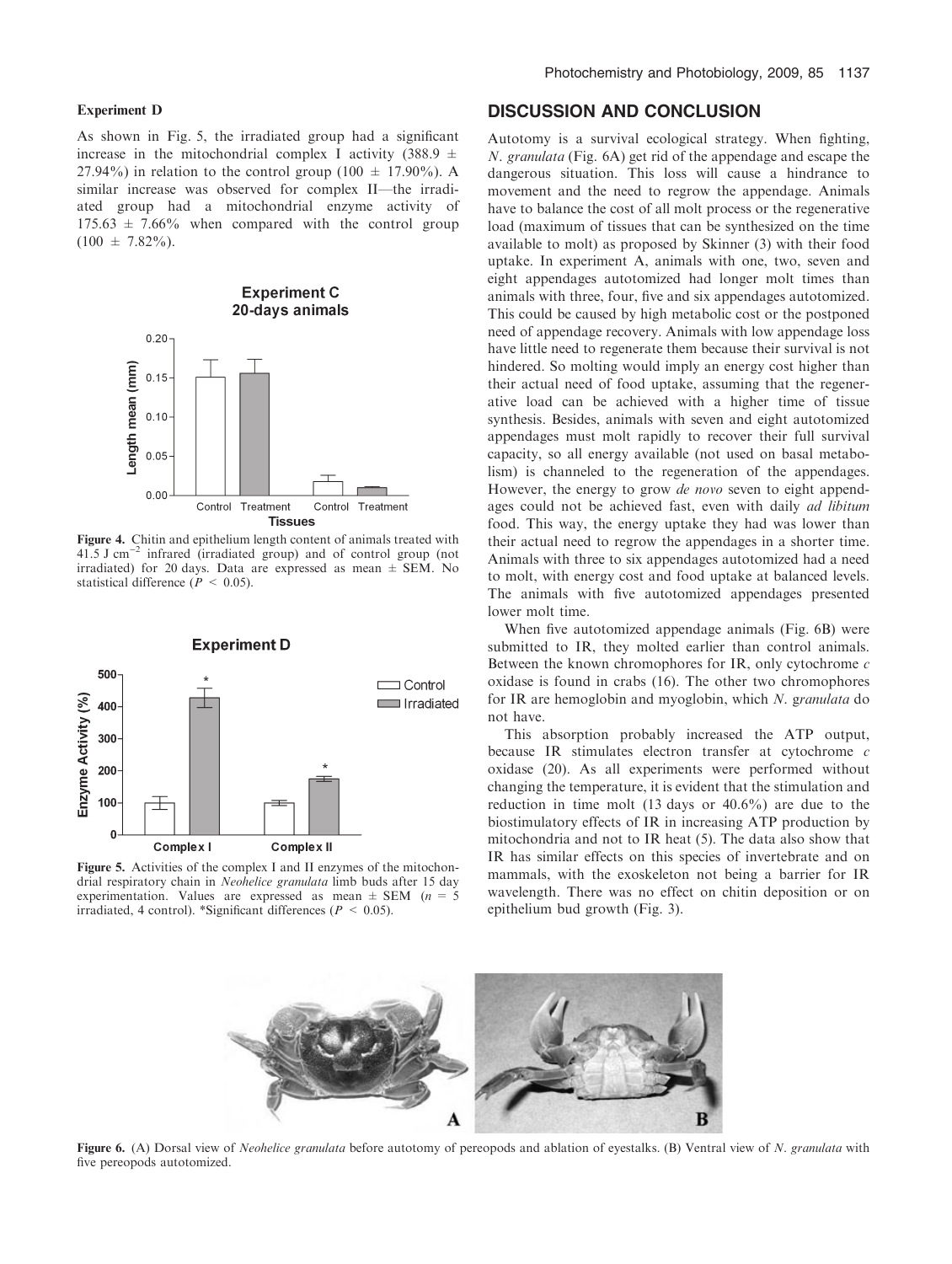#### Experiment D

As shown in Fig. 5, the irradiated group had a significant increase in the mitochondrial complex I activity (388.9  $\pm$ 27.94%) in relation to the control group (100  $\pm$  17.90%). A similar increase was observed for complex II—the irradiated group had a mitochondrial enzyme activity of  $175.63 \pm 7.66\%$  when compared with the control group  $(100 \pm 7.82\%)$ .



Figure 4. Chitin and epithelium length content of animals treated with 41.5  $J \text{ cm}^{-2}$  infrared (irradiated group) and of control group (not irradiated) for 20 days. Data are expressed as mean  $\pm$  SEM. No statistical difference ( $P < 0.05$ ).



Figure 5. Activities of the complex I and II enzymes of the mitochondrial respiratory chain in Neohelice granulata limb buds after 15 day experimentation. Values are expressed as mean  $\pm$  SEM ( $n = 5$ irradiated, 4 control). \*Significant differences ( $P \le 0.05$ ).

## DISCUSSION AND CONCLUSION

Autotomy is a survival ecological strategy. When fighting, N. granulata (Fig. 6A) get rid of the appendage and escape the dangerous situation. This loss will cause a hindrance to movement and the need to regrow the appendage. Animals have to balance the cost of all molt process or the regenerative load (maximum of tissues that can be synthesized on the time available to molt) as proposed by Skinner (3) with their food uptake. In experiment A, animals with one, two, seven and eight appendages autotomized had longer molt times than animals with three, four, five and six appendages autotomized. This could be caused by high metabolic cost or the postponed need of appendage recovery. Animals with low appendage loss have little need to regenerate them because their survival is not hindered. So molting would imply an energy cost higher than their actual need of food uptake, assuming that the regenerative load can be achieved with a higher time of tissue synthesis. Besides, animals with seven and eight autotomized appendages must molt rapidly to recover their full survival capacity, so all energy available (not used on basal metabolism) is channeled to the regeneration of the appendages. However, the energy to grow de novo seven to eight appendages could not be achieved fast, even with daily ad libitum food. This way, the energy uptake they had was lower than their actual need to regrow the appendages in a shorter time. Animals with three to six appendages autotomized had a need to molt, with energy cost and food uptake at balanced levels. The animals with five autotomized appendages presented lower molt time.

When five autotomized appendage animals (Fig. 6B) were submitted to IR, they molted earlier than control animals. Between the known chromophores for IR, only cytochrome  $c$ oxidase is found in crabs (16). The other two chromophores for IR are hemoglobin and myoglobin, which N. granulata do not have.

This absorption probably increased the ATP output, because IR stimulates electron transfer at cytochrome c oxidase (20). As all experiments were performed without changing the temperature, it is evident that the stimulation and reduction in time molt (13 days or 40.6%) are due to the biostimulatory effects of IR in increasing ATP production by mitochondria and not to IR heat (5). The data also show that IR has similar effects on this species of invertebrate and on mammals, with the exoskeleton not being a barrier for IR wavelength. There was no effect on chitin deposition or on epithelium bud growth (Fig. 3).



Figure 6. (A) Dorsal view of Neohelice granulata before autotomy of pereopods and ablation of eyestalks. (B) Ventral view of N. granulata with five pereopods autotomized.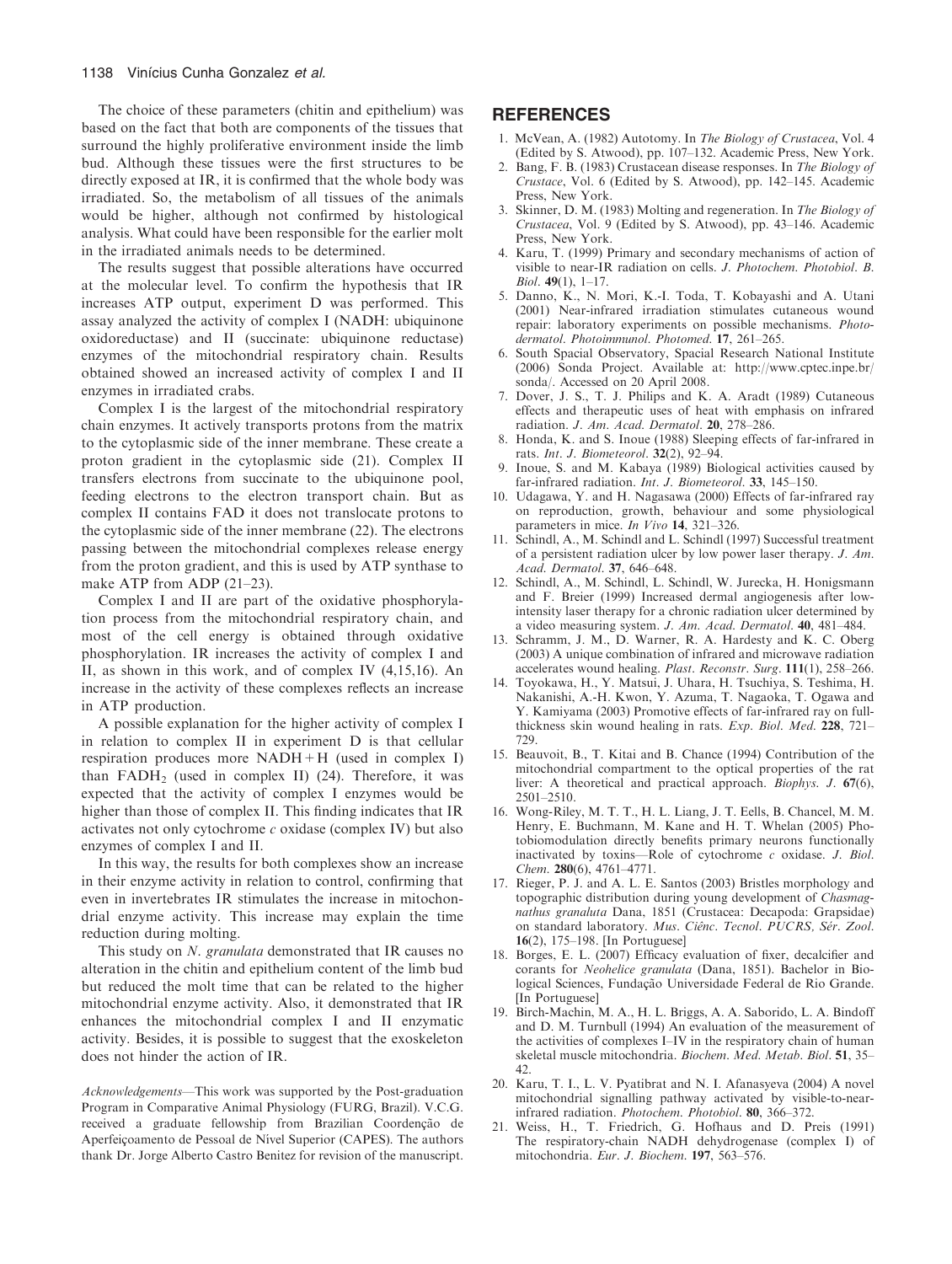The choice of these parameters (chitin and epithelium) was based on the fact that both are components of the tissues that surround the highly proliferative environment inside the limb bud. Although these tissues were the first structures to be directly exposed at IR, it is confirmed that the whole body was irradiated. So, the metabolism of all tissues of the animals would be higher, although not confirmed by histological analysis. What could have been responsible for the earlier molt in the irradiated animals needs to be determined.

The results suggest that possible alterations have occurred at the molecular level. To confirm the hypothesis that IR increases ATP output, experiment D was performed. This assay analyzed the activity of complex I (NADH: ubiquinone oxidoreductase) and II (succinate: ubiquinone reductase) enzymes of the mitochondrial respiratory chain. Results obtained showed an increased activity of complex I and II enzymes in irradiated crabs.

Complex I is the largest of the mitochondrial respiratory chain enzymes. It actively transports protons from the matrix to the cytoplasmic side of the inner membrane. These create a proton gradient in the cytoplasmic side (21). Complex II transfers electrons from succinate to the ubiquinone pool, feeding electrons to the electron transport chain. But as complex II contains FAD it does not translocate protons to the cytoplasmic side of the inner membrane (22). The electrons passing between the mitochondrial complexes release energy from the proton gradient, and this is used by ATP synthase to make ATP from ADP (21–23).

Complex I and II are part of the oxidative phosphorylation process from the mitochondrial respiratory chain, and most of the cell energy is obtained through oxidative phosphorylation. IR increases the activity of complex I and II, as shown in this work, and of complex IV (4,15,16). An increase in the activity of these complexes reflects an increase in ATP production.

A possible explanation for the higher activity of complex I in relation to complex II in experiment D is that cellular respiration produces more NADH+H (used in complex I) than  $FADH<sub>2</sub>$  (used in complex II) (24). Therefore, it was expected that the activity of complex I enzymes would be higher than those of complex II. This finding indicates that IR activates not only cytochrome  $c$  oxidase (complex IV) but also enzymes of complex I and II.

In this way, the results for both complexes show an increase in their enzyme activity in relation to control, confirming that even in invertebrates IR stimulates the increase in mitochondrial enzyme activity. This increase may explain the time reduction during molting.

This study on N. granulata demonstrated that IR causes no alteration in the chitin and epithelium content of the limb bud but reduced the molt time that can be related to the higher mitochondrial enzyme activity. Also, it demonstrated that IR enhances the mitochondrial complex I and II enzymatic activity. Besides, it is possible to suggest that the exoskeleton does not hinder the action of IR.

Acknowledgements—This work was supported by the Post-graduation Program in Comparative Animal Physiology (FURG, Brazil). V.C.G. received a graduate fellowship from Brazilian Coordenção de Aperfeiçoamento de Pessoal de Nível Superior (CAPES). The authors thank Dr. Jorge Alberto Castro Benitez for revision of the manuscript.

# **REFERENCES**

- 1. McVean, A. (1982) Autotomy. In The Biology of Crustacea, Vol. 4 (Edited by S. Atwood), pp. 107–132. Academic Press, New York.
- 2. Bang, F. B. (1983) Crustacean disease responses. In The Biology of Crustace, Vol. 6 (Edited by S. Atwood), pp. 142–145. Academic Press, New York.
- 3. Skinner, D. M. (1983) Molting and regeneration. In The Biology of Crustacea, Vol. 9 (Edited by S. Atwood), pp. 43–146. Academic Press, New York.
- 4. Karu, T. (1999) Primary and secondary mechanisms of action of visible to near-IR radiation on cells. J. Photochem. Photobiol. B. Biol.  $49(1)$ , 1-17.
- 5. Danno, K., N. Mori, K.-I. Toda, T. Kobayashi and A. Utani (2001) Near-infrared irradiation stimulates cutaneous wound repair: laboratory experiments on possible mechanisms. Photodermatol. Photoimmunol. Photomed. 17, 261–265.
- 6. South Spacial Observatory, Spacial Research National Institute (2006) Sonda Project. Available at: http://www.cptec.inpe.br/ sonda/. Accessed on 20 April 2008.
- 7. Dover, J. S., T. J. Philips and K. A. Aradt (1989) Cutaneous effects and therapeutic uses of heat with emphasis on infrared radiation. J. Am. Acad. Dermatol. 20, 278-286.
- 8. Honda, K. and S. Inoue (1988) Sleeping effects of far-infrared in rats. Int. J. Biometeorol. 32(2), 92–94.
- 9. Inoue, S. and M. Kabaya (1989) Biological activities caused by far-infrared radiation. *Int. J. Biometeorol*. 33, 145-150.
- 10. Udagawa, Y. and H. Nagasawa (2000) Effects of far-infrared ray on reproduction, growth, behaviour and some physiological parameters in mice. In Vivo 14, 321–326.
- 11. Schindl, A., M. Schindl and L. Schindl (1997) Successful treatment of a persistent radiation ulcer by low power laser therapy. J. Am. Acad. Dermatol. 37, 646–648.
- 12. Schindl, A., M. Schindl, L. Schindl, W. Jurecka, H. Honigsmann and F. Breier (1999) Increased dermal angiogenesis after lowintensity laser therapy for a chronic radiation ulcer determined by a video measuring system. J. Am. Acad. Dermatol. 40, 481–484.
- 13. Schramm, J. M., D. Warner, R. A. Hardesty and K. C. Oberg (2003) A unique combination of infrared and microwave radiation accelerates wound healing. Plast. Reconstr. Surg. 111(1), 258–266.
- 14. Toyokawa, H., Y. Matsui, J. Uhara, H. Tsuchiya, S. Teshima, H. Nakanishi, A.-H. Kwon, Y. Azuma, T. Nagaoka, T. Ogawa and Y. Kamiyama (2003) Promotive effects of far-infrared ray on fullthickness skin wound healing in rats. Exp. Biol. Med. 228, 721-729.
- 15. Beauvoit, B., T. Kitai and B. Chance (1994) Contribution of the mitochondrial compartment to the optical properties of the rat liver: A theoretical and practical approach. Biophys. J. 67(6), 2501–2510.
- 16. Wong-Riley, M. T. T., H. L. Liang, J. T. Eells, B. Chancel, M. M. Henry, E. Buchmann, M. Kane and H. T. Whelan (2005) Photobiomodulation directly benefits primary neurons functionally inactivated by toxins—Role of cytochrome  $c$  oxidase. J. Biol. Chem. 280(6), 4761–4771.
- 17. Rieger, P. J. and A. L. E. Santos (2003) Bristles morphology and topographic distribution during young development of Chasmagnathus granaluta Dana, 1851 (Crustacea: Decapoda: Grapsidae) on standard laboratory. Mus. Ciênc. Tecnol. PUCRS, Sér. Zool. 16(2), 175–198. [In Portuguese]
- 18. Borges, E. L. (2007) Efficacy evaluation of fixer, decalcifier and corants for Neohelice granulata (Dana, 1851). Bachelor in Biological Sciences, Fundação Universidade Federal de Rio Grande. [In Portuguese]
- 19. Birch-Machin, M. A., H. L. Briggs, A. A. Saborido, L. A. Bindoff and D. M. Turnbull (1994) An evaluation of the measurement of the activities of complexes I–IV in the respiratory chain of human skeletal muscle mitochondria. Biochem. Med. Metab. Biol. 51, 35–  $42$
- 20. Karu, T. I., L. V. Pyatibrat and N. I. Afanasyeva (2004) A novel mitochondrial signalling pathway activated by visible-to-nearinfrared radiation. Photochem. Photobiol. 80, 366-372.
- 21. Weiss, H., T. Friedrich, G. Hofhaus and D. Preis (1991) The respiratory-chain NADH dehydrogenase (complex I) of mitochondria. Eur. J. Biochem. 197, 563–576.